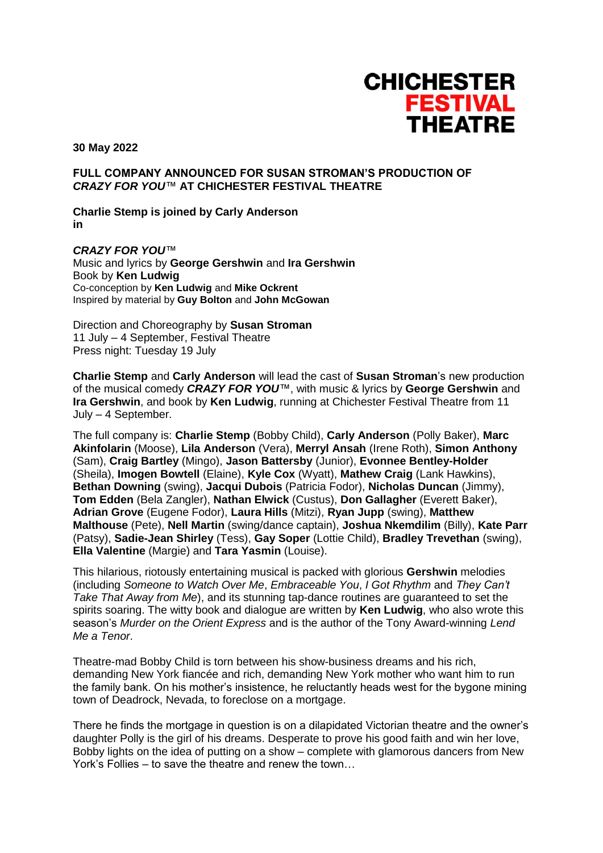

**30 May 2022**

## **FULL COMPANY ANNOUNCED FOR SUSAN STROMAN'S PRODUCTION OF**  *CRAZY FOR YOU™* **AT CHICHESTER FESTIVAL THEATRE**

**Charlie Stemp is joined by Carly Anderson in**

*CRAZY FOR YOU™* Music and lyrics by **George Gershwin** and **Ira Gershwin** Book by **Ken Ludwig** Co-conception by **Ken Ludwig** and **Mike Ockrent** Inspired by material by **Guy Bolton** and **John McGowan**

Direction and Choreography by **Susan Stroman** 11 July – 4 September, Festival Theatre Press night: Tuesday 19 July

**Charlie Stemp** and **Carly Anderson** will lead the cast of **Susan Stroman**'s new production of the musical comedy *CRAZY FOR YOU™*, with music & lyrics by **George Gershwin** and **Ira Gershwin**, and book by **Ken Ludwig**, running at Chichester Festival Theatre from 11 July – 4 September.

The full company is: **Charlie Stemp** (Bobby Child), **Carly Anderson** (Polly Baker), **Marc Akinfolarin** (Moose), **Lila Anderson** (Vera), **Merryl Ansah** (Irene Roth), **Simon Anthony**  (Sam), **Craig Bartley** (Mingo), **Jason Battersby** (Junior), **Evonnee Bentley-Holder**  (Sheila), **Imogen Bowtell** (Elaine), **Kyle Cox** (Wyatt), **Mathew Craig** (Lank Hawkins), **Bethan Downing** (swing), **Jacqui Dubois** (Patricia Fodor), **Nicholas Duncan** (Jimmy), **Tom Edden** (Bela Zangler), **Nathan Elwick** (Custus), **Don Gallagher** (Everett Baker), **Adrian Grove** (Eugene Fodor), **Laura Hills** (Mitzi), **Ryan Jupp** (swing), **Matthew Malthouse** (Pete), **Nell Martin** (swing/dance captain), **Joshua Nkemdilim** (Billy), **Kate Parr** (Patsy), **Sadie-Jean Shirley** (Tess), **Gay Soper** (Lottie Child), **Bradley Trevethan** (swing), **Ella Valentine** (Margie) and **Tara Yasmin** (Louise).

This hilarious, riotously entertaining musical is packed with glorious **Gershwin** melodies (including *Someone to Watch Over Me*, *Embraceable You*, *I Got Rhythm* and *They Can't Take That Away from Me*), and its stunning tap-dance routines are guaranteed to set the spirits soaring. The witty book and dialogue are written by **Ken Ludwig**, who also wrote this season's *Murder on the Orient Express* and is the author of the Tony Award-winning *Lend Me a Tenor*.

Theatre-mad Bobby Child is torn between his show-business dreams and his rich, demanding New York fiancée and rich, demanding New York mother who want him to run the family bank. On his mother's insistence, he reluctantly heads west for the bygone mining town of Deadrock, Nevada, to foreclose on a mortgage.

There he finds the mortgage in question is on a dilapidated Victorian theatre and the owner's daughter Polly is the girl of his dreams. Desperate to prove his good faith and win her love, Bobby lights on the idea of putting on a show – complete with glamorous dancers from New York's Follies – to save the theatre and renew the town…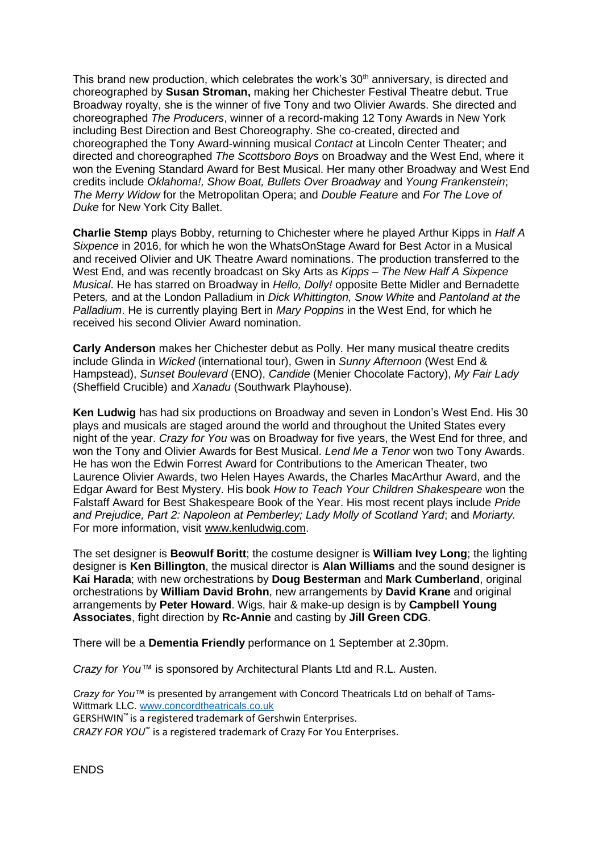This brand new production, which celebrates the work's 30<sup>th</sup> anniversary, is directed and choreographed by **Susan Stroman,** making her Chichester Festival Theatre debut. True Broadway royalty, she is the winner of five Tony and two Olivier Awards. She directed and choreographed *The Producers*, winner of a record-making 12 Tony Awards in New York including Best Direction and Best Choreography. She co-created, directed and choreographed the Tony Award-winning musical *Contact* at Lincoln Center Theater; and directed and choreographed *The Scottsboro Boys* on Broadway and the West End, where it won the Evening Standard Award for Best Musical. Her many other Broadway and West End credits include *Oklahoma!, Show Boat, Bullets Over Broadway* and *Young Frankenstein*; *The Merry Widow* for the Metropolitan Opera; and *Double Feature* and *For The Love of Duke* for New York City Ballet.

**Charlie Stemp** plays Bobby, returning to Chichester where he played Arthur Kipps in *Half A Sixpence* in 2016, for which he won the WhatsOnStage Award for Best Actor in a Musical and received Olivier and UK Theatre Award nominations. The production transferred to the West End, and was recently broadcast on Sky Arts as *Kipps – The New Half A Sixpence Musical*. He has starred on Broadway in *Hello, Dolly!* opposite Bette Midler and Bernadette Peters*,* and at the London Palladium in *Dick Whittington, Snow White* and *Pantoland at the Palladium*. He is currently playing Bert in *Mary Poppins* in the West End, for which he received his second Olivier Award nomination.

**Carly Anderson** makes her Chichester debut as Polly. Her many musical theatre credits include Glinda in *Wicked* (international tour), Gwen in *Sunny Afternoon* (West End & Hampstead), *Sunset Boulevard* (ENO), *Candide* (Menier Chocolate Factory), *My Fair Lady* (Sheffield Crucible) and *Xanadu* (Southwark Playhouse).

**Ken Ludwig** has had six productions on Broadway and seven in London's West End. His 30 plays and musicals are staged around the world and throughout the United States every night of the year. *Crazy for You* was on Broadway for five years, the West End for three, and won the Tony and Olivier Awards for Best Musical. *Lend Me a Tenor* won two Tony Awards. He has won the Edwin Forrest Award for Contributions to the American Theater, two Laurence Olivier Awards, two Helen Hayes Awards, the Charles MacArthur Award, and the Edgar Award for Best Mystery. His book *How to Teach Your Children Shakespeare* won the Falstaff Award for Best Shakespeare Book of the Year. His most recent plays include *Pride and Prejudice, Part 2: Napoleon at Pemberley; Lady Molly of Scotland Yard*; and *Moriarty.*  For more information, visit [www.kenludwig.com.](http://www.kenludwig.com/)

The set designer is **Beowulf Boritt**; the costume designer is **William Ivey Long**; the lighting designer is **Ken Billington**, the musical director is **Alan Williams** and the sound designer is **Kai Harada**; with new orchestrations by **Doug Besterman** and **Mark Cumberland**, original orchestrations by **William David Brohn**, new arrangements by **David Krane** and original arrangements by **Peter Howard**. Wigs, hair & make-up design is by **Campbell Young Associates**, fight direction by **Rc-Annie** and casting by **Jill Green CDG**.

There will be a **Dementia Friendly** performance on 1 September at 2.30pm.

*Crazy for You™* is sponsored by Architectural Plants Ltd and R.L. Austen.

*Crazy for You™* is presented by arrangement with Concord Theatricals Ltd on behalf of Tams-Wittmark LLC. [www.concordtheatricals.co.uk](http://www.concordtheatricals.co.uk/) GERSHWIN™ is a registered trademark of Gershwin Enterprises.

*CRAZY FOR YOU*™ is a registered trademark of Crazy For You Enterprises.